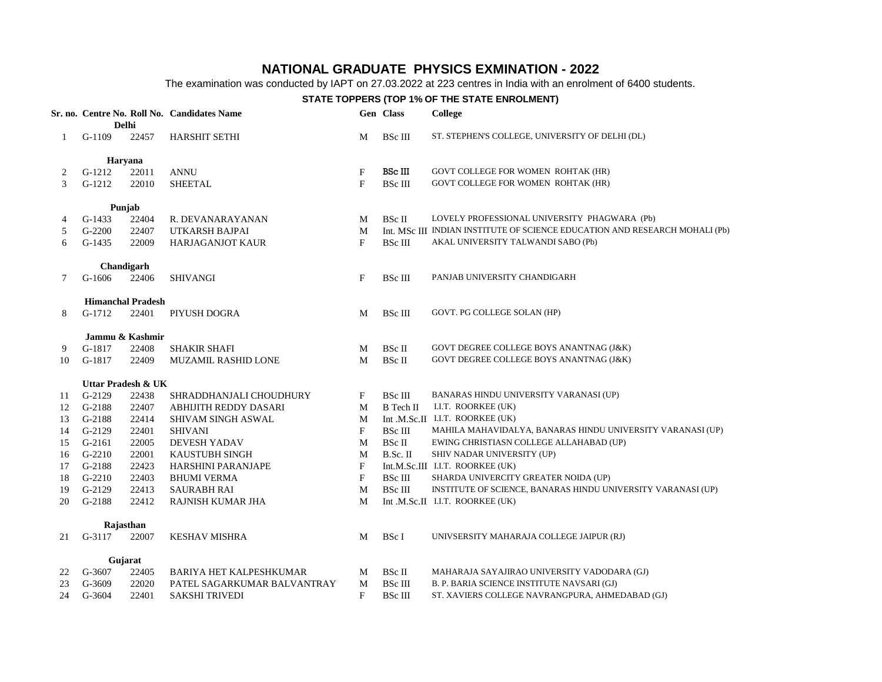## **NATIONAL GRADUATE PHYSICS EXMINATION - 2022**

The examination was conducted by IAPT on 27.03.2022 at 223 centres in India with an enrolment of 6400 students.

## **STATE TOPPERS (TOP 1% OF THE STATE ENROLMENT)**

|    |                          |         | Sr. no. Centre No. Roll No. Candidates Name |   | Gen Class      | <b>College</b>                                                              |
|----|--------------------------|---------|---------------------------------------------|---|----------------|-----------------------------------------------------------------------------|
|    | <b>Delhi</b>             |         |                                             |   |                |                                                                             |
| 1  | $G-1109$                 | 22457   | <b>HARSHIT SETHI</b>                        | M | <b>BSc III</b> | ST. STEPHEN'S COLLEGE, UNIVERSITY OF DELHI (DL)                             |
|    | <b>Haryana</b>           |         |                                             |   |                |                                                                             |
| 2  | G-1212                   | 22011   | <b>ANNU</b>                                 | F | BSc III        | GOVT COLLEGE FOR WOMEN ROHTAK (HR)                                          |
| 3  | $G-1212$                 | 22010   | <b>SHEETAL</b>                              | F | <b>BSc III</b> | GOVT COLLEGE FOR WOMEN ROHTAK (HR)                                          |
|    | Punjab                   |         |                                             |   |                |                                                                             |
| 4  | $G-1433$                 | 22404   | R. DEVANARAYANAN                            | М | BSc II         | LOVELY PROFESSIONAL UNIVERSITY PHAGWARA (Pb)                                |
| 5  | $G-2200$                 | 22407   | UTKARSH BAJPAI                              | M |                | Int. MSc III INDIAN INSTITUTE OF SCIENCE EDUCATION AND RESEARCH MOHALI (Pb) |
| 6  | $G-1435$                 | 22009   | <b>HARJAGANJOT KAUR</b>                     | F | <b>BSc III</b> | AKAL UNIVERSITY TALWANDI SABO (Pb)                                          |
|    | Chandigarh               |         |                                             |   |                |                                                                             |
| 7  | $G-1606$                 | 22406   | <b>SHIVANGI</b>                             | F | <b>BSc III</b> | PANJAB UNIVERSITY CHANDIGARH                                                |
|    | <b>Himanchal Pradesh</b> |         |                                             |   |                |                                                                             |
| 8  | $G-1712$                 | 22401   | PIYUSH DOGRA                                | M | <b>BSc III</b> | GOVT. PG COLLEGE SOLAN (HP)                                                 |
|    | Jammu & Kashmir          |         |                                             |   |                |                                                                             |
| 9  | G-1817                   | 22408   | <b>SHAKIR SHAFI</b>                         | M | BSc II         | GOVT DEGREE COLLEGE BOYS ANANTNAG (J&K)                                     |
| 10 | G-1817                   | 22409   | MUZAMIL RASHID LONE                         | M | BSc II         | GOVT DEGREE COLLEGE BOYS ANANTNAG (J&K)                                     |
|    | Uttar Pradesh & UK       |         |                                             |   |                |                                                                             |
| 11 | $G-2129$                 | 22438   | SHRADDHANJALI CHOUDHURY                     | F | <b>BSc III</b> | BANARAS HINDU UNIVERSITY VARANASI (UP)                                      |
| 12 | G-2188                   | 22407   | ABHIJITH REDDY DASARI                       | M | B Tech II      | I.I.T. ROORKEE (UK)                                                         |
| 13 | G-2188                   | 22414   | <b>SHIVAM SINGH ASWAL</b>                   | M |                | Int.M.Sc.II I.I.T. ROORKEE (UK)                                             |
| 14 | G-2129                   | 22401   | <b>SHIVANI</b>                              | F | <b>BSc III</b> | MAHILA MAHAVIDALYA, BANARAS HINDU UNIVERSITY VARANASI (UP)                  |
| 15 | $G-2161$                 | 22005   | <b>DEVESH YADAV</b>                         | M | BSc II         | EWING CHRISTIASN COLLEGE ALLAHABAD (UP)                                     |
| 16 | $G-2210$                 | 22001   | <b>KAUSTUBH SINGH</b>                       | M | B.Sc. II       | SHIV NADAR UNIVERSITY (UP)                                                  |
| 17 | G-2188                   | 22423   | HARSHINI PARANJAPE                          | F |                | Int.M.Sc.III I.I.T. ROORKEE (UK)                                            |
| 18 | $G-2210$                 | 22403   | <b>BHUMI VERMA</b>                          | F | <b>BSc III</b> | SHARDA UNIVERCITY GREATER NOIDA (UP)                                        |
| 19 | $G-2129$                 | 22413   | SAURABH RAI                                 | M | <b>BSc III</b> | INSTITUTE OF SCIENCE, BANARAS HINDU UNIVERSITY VARANASI (UP)                |
| 20 | G-2188                   | 22412   | RAJNISH KUMAR JHA                           | M |                | Int.M.Sc.II I.I.T. ROORKEE (UK)                                             |
|    | Rajasthan                |         |                                             |   |                |                                                                             |
| 21 | G-3117                   | 22007   | <b>KESHAV MISHRA</b>                        | M | BSc I          | UNIVSERSITY MAHARAJA COLLEGE JAIPUR (RJ)                                    |
|    |                          | Gujarat |                                             |   |                |                                                                             |
| 22 | G-3607                   | 22405   | <b>BARIYA HET KALPESHKUMAR</b>              | M | BSc II         | MAHARAJA SAYAJIRAO UNIVERSITY VADODARA (GJ)                                 |
| 23 | G-3609                   | 22020   | PATEL SAGARKUMAR BALVANTRAY                 | M | <b>BSc III</b> | B. P. BARIA SCIENCE INSTITUTE NAVSARI (GJ)                                  |
| 24 | G-3604                   | 22401   | SAKSHI TRIVEDI                              | F | <b>BSc III</b> | ST. XAVIERS COLLEGE NAVRANGPURA, AHMEDABAD (GJ)                             |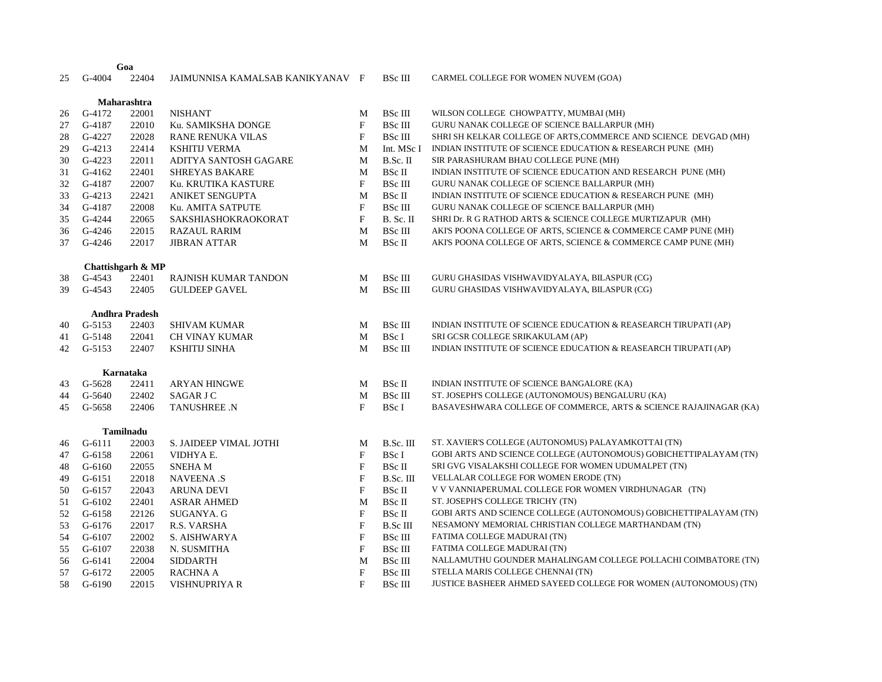## G-4004 22404 JAIMUNNISA KAMALSAB KANIKYANAV F BSc III CARMEL COLLEGE FOR WOMEN NUVEM (GOA)

| Maharashtra |            |                       |                        |                           |                |                                                                   |
|-------------|------------|-----------------------|------------------------|---------------------------|----------------|-------------------------------------------------------------------|
| 26          | G-4172     | 22001                 | <b>NISHANT</b>         | M                         | <b>BSc III</b> | WILSON COLLEGE CHOWPATTY, MUMBAI (MH)                             |
| 27          | G-4187     | 22010                 | Ku. SAMIKSHA DONGE     | F                         | <b>BSc III</b> | GURU NANAK COLLEGE OF SCIENCE BALLARPUR (MH)                      |
| 28          | G-4227     | 22028                 | RANE RENUKA VILAS      | F                         | <b>BSc III</b> | SHRI SH KELKAR COLLEGE OF ARTS, COMMERCE AND SCIENCE DEVGAD (MH)  |
| 29          | $G-4213$   | 22414                 | <b>KSHITIJ VERMA</b>   | M                         | Int. MSc I     | INDIAN INSTITUTE OF SCIENCE EDUCATION & RESEARCH PUNE (MH)        |
| 30          | $G-4223$   | 22011                 | ADITYA SANTOSH GAGARE  | M                         | B.Sc. II       | SIR PARASHURAM BHAU COLLEGE PUNE (MH)                             |
| 31          | $G-4162$   | 22401                 | <b>SHREYAS BAKARE</b>  | M                         | BSc II         | INDIAN INSTITUTE OF SCIENCE EDUCATION AND RESEARCH PUNE (MH)      |
| 32          | G-4187     | 22007                 | Ku. KRUTIKA KASTURE    | F                         | <b>BSc III</b> | GURU NANAK COLLEGE OF SCIENCE BALLARPUR (MH)                      |
| 33          | $G-4213$   | 22421                 | <b>ANIKET SENGUPTA</b> | M                         | BSc II         | INDIAN INSTITUTE OF SCIENCE EDUCATION & RESEARCH PUNE (MH)        |
| 34          | G-4187     | 22008                 | Ku. AMITA SATPUTE      | F                         | <b>BSc III</b> | GURU NANAK COLLEGE OF SCIENCE BALLARPUR (MH)                      |
| 35          | G-4244     | 22065                 | SAKSHIASHOKRAOKORAT    | F                         | B. Sc. II      | SHRI Dr. R G RATHOD ARTS & SCIENCE COLLEGE MURTIZAPUR (MH)        |
| 36          | G-4246     | 22015                 | <b>RAZAUL RARIM</b>    | M                         | <b>BSc III</b> | AKI'S POONA COLLEGE OF ARTS, SCIENCE & COMMERCE CAMP PUNE (MH)    |
| 37          | G-4246     | 22017                 | <b>JIBRAN ATTAR</b>    | M                         | BSc II         | AKI'S POONA COLLEGE OF ARTS, SCIENCE & COMMERCE CAMP PUNE (MH)    |
|             |            | Chattishgarh & MP     |                        |                           |                |                                                                   |
| 38          | G-4543     | 22401                 | RAJNISH KUMAR TANDON   | M                         | BSc III        | GURU GHASIDAS VISHWAVIDYALAYA, BILASPUR (CG)                      |
| 39          | G-4543     | 22405                 | <b>GULDEEP GAVEL</b>   | M                         | <b>BSc III</b> | GURU GHASIDAS VISHWAVIDYALAYA, BILASPUR (CG)                      |
|             |            | <b>Andhra Pradesh</b> |                        |                           |                |                                                                   |
| 40          | $G-5153$   | 22403                 | <b>SHIVAM KUMAR</b>    | M                         | <b>BSc III</b> | INDIAN INSTITUTE OF SCIENCE EDUCATION & REASEARCH TIRUPATI (AP)   |
| 41          | G-5148     | 22041                 | <b>CH VINAY KUMAR</b>  | M                         | BSc I          | SRI GCSR COLLEGE SRIKAKULAM (AP)                                  |
| 42          | $G-5153$   | 22407                 | <b>KSHITIJ SINHA</b>   | M                         | <b>BSc III</b> | INDIAN INSTITUTE OF SCIENCE EDUCATION & REASEARCH TIRUPATI (AP)   |
|             |            | Karnataka             |                        |                           |                |                                                                   |
| 43          | $G-5628$   | 22411                 | <b>ARYAN HINGWE</b>    | M                         | BSc II         | INDIAN INSTITUTE OF SCIENCE BANGALORE (KA)                        |
| 44          | G-5640     | 22402                 | SAGAR J C              | M                         | <b>BSc III</b> | ST. JOSEPH'S COLLEGE (AUTONOMOUS) BENGALURU (KA)                  |
| 45          | G-5658     | 22406                 | <b>TANUSHREE .N</b>    | F                         | BSc I          | BASAVESHWARA COLLEGE OF COMMERCE, ARTS & SCIENCE RAJAJINAGAR (KA) |
|             |            |                       |                        |                           |                |                                                                   |
|             |            | Tamilnadu             |                        |                           |                |                                                                   |
| 46          | $G-6111$   | 22003                 | S. JAIDEEP VIMAL JOTHI | M                         | B.Sc. III      | ST. XAVIER'S COLLEGE (AUTONOMUS) PALAYAMKOTTAI (TN)               |
| 47          | G-6158     | 22061                 | VIDHYA E.              | F                         | BSc I          | GOBI ARTS AND SCIENCE COLLEGE (AUTONOMOUS) GOBICHETTIPALAYAM (TN) |
| 48          | $G - 6160$ | 22055                 | <b>SNEHAM</b>          | $\mathbf{F}$              | BSc II         | SRI GVG VISALAKSHI COLLEGE FOR WOMEN UDUMALPET (TN)               |
| 49          | $G-6151$   | 22018                 | <b>NAVEENA .S</b>      | $\mathbf{F}$              | B.Sc. III      | VELLALAR COLLEGE FOR WOMEN ERODE (TN)                             |
| 50          | G-6157     | 22043                 | <b>ARUNA DEVI</b>      | $\mathbf{F}$              | BSc II         | V V VANNIAPERUMAL COLLEGE FOR WOMEN VIRDHUNAGAR (TN)              |
| 51          | $G-6102$   | 22401                 | ASRAR AHMED            | M                         | BSc II         | ST. JOSEPH'S COLLEGE TRICHY (TN)                                  |
| 52          | G-6158     | 22126                 | SUGANYA. G             | $\boldsymbol{\mathrm{F}}$ | <b>BSc II</b>  | GOBI ARTS AND SCIENCE COLLEGE (AUTONOMOUS) GOBICHETTIPALAYAM (TN) |
| 53          | G-6176     | 22017                 | R.S. VARSHA            | F                         | B.Sc III       | NESAMONY MEMORIAL CHRISTIAN COLLEGE MARTHANDAM (TN)               |
| 54          | G-6107     | 22002                 | S. AISHWARYA           | $\boldsymbol{\mathrm{F}}$ | <b>BSc III</b> | FATIMA COLLEGE MADURAI (TN)                                       |
| 55          | G-6107     | 22038                 | N. SUSMITHA            | F                         | <b>BSc III</b> | FATIMA COLLEGE MADURAI (TN)                                       |
| 56          | $G-6141$   | 22004                 | <b>SIDDARTH</b>        | M                         | <b>BSc III</b> | NALLAMUTHU GOUNDER MAHALINGAM COLLEGE POLLACHI COIMBATORE (TN)    |
| 57          | G-6172     | 22005                 | <b>RACHNA A</b>        | $\mathbf{F}$              | <b>BSc III</b> | STELLA MARIS COLLEGE CHENNAI (TN)                                 |
| 58          | G-6190     | 22015                 | <b>VISHNUPRIYA R</b>   | $\mathbf{F}$              | <b>BSc III</b> | JUSTICE BASHEER AHMED SAYEED COLLEGE FOR WOMEN (AUTONOMOUS) (TN)  |